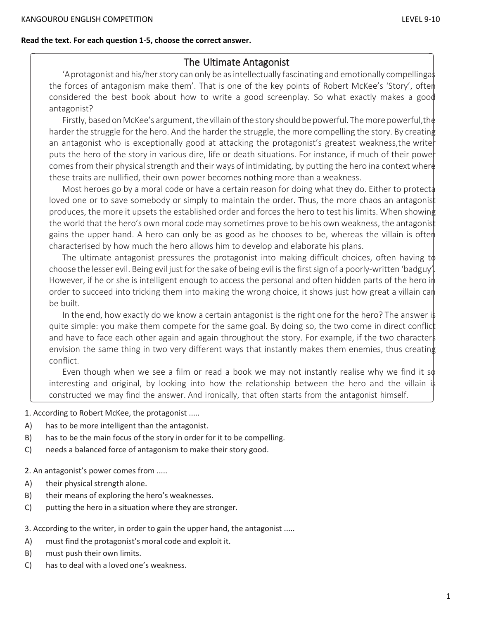## **Read the text. For each question 1-5, choose the correct answer.**

# The Ultimate Antagonist

'A protagonist and his/her story can only be as intellectually fascinating and emotionally compellingas the forces of antagonism make them'. That is one of the key points of Robert McKee's 'Story', oftem considered the best book about how to write a good screenplay. So what exactly makes a good antagonist?

Firstly, based on McKee's argument, the villain of the story should be powerful. The more powerful, the harder the struggle for the hero. And the harder the struggle, the more compelling the story. By creating an antagonist who is exceptionally good at attacking the protagonist's greatest weakness, the write puts the hero of the story in various dire, life or death situations. For instance, if much of their power comes from their physical strength and their ways of intimidating, by putting the hero ina context where these traits are nullified, their own power becomes nothing more than a weakness.

Most heroes go by a moral code or have a certain reason for doing what they do. Either to protect. loved one or to save somebody or simply to maintain the order. Thus, the more chaos an antagonist produces, the more it upsets the established order and forces the hero to test his limits. When showing the world that the hero's own moral code may sometimes prove to be his own weakness, the antagonist gains the upper hand. A hero can only be as good as he chooses to be, whereas the villain is often characterised by how much the hero allows him to develop and elaborate his plans.

The ultimate antagonist pressures the protagonist into making difficult choices, often having to choose the lesser evil. Being evil just forthe sake of being evil isthe firstsign of a poorly-written 'badguy'. However, if he or she is intelligent enough to access the personal and often hidden parts of the hero in order to succeed into tricking them into making the wrong choice, it shows just how great a villain can be built.

In the end, how exactly do we know a certain antagonist is the right one for the hero? The answer is quite simple: you make them compete for the same goal. By doing so, the two come in direct conflict and have to face each other again and again throughout the story. For example, if the two characters envision the same thing in two very different ways that instantly makes them enemies, thus creating conflict.

Even though when we see a film or read a book we may not instantly realise why we find it  $s\phi$ interesting and original, by looking into how the relationship between the hero and the villain is constructed we may find the answer. And ironically, that often starts from the antagonist himself.

1. According to Robert McKee, the protagonist .....

- A) has to be more intelligent than the antagonist.
- B) has to be the main focus of the story in order for it to be compelling.
- C) needs a balanced force of antagonism to make their story good.

2. An antagonist's power comes from .....

- A) their physical strength alone.
- B) their means of exploring the hero's weaknesses.
- C) putting the hero in a situation where they are stronger.

3. According to the writer, in order to gain the upper hand, the antagonist .....

- A) must find the protagonist's moral code and exploit it.
- B) must push their own limits.
- C) has to deal with a loved one's weakness.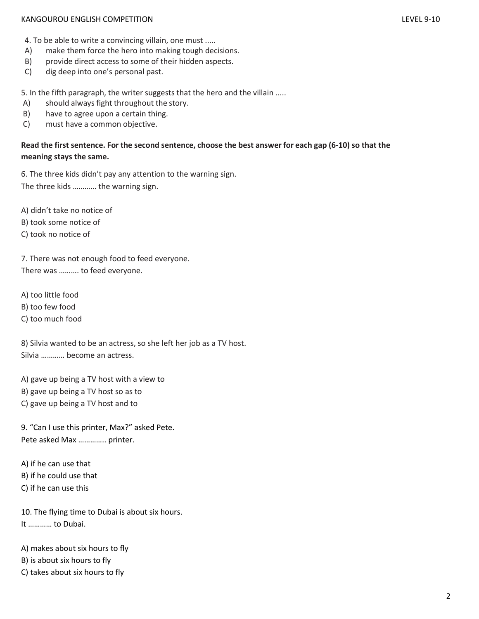#### KANGOUROU ENGLISH COMPETITION LEVEL 9-10

- 
- A) make them force the hero into making tough decisions.
- B) provide direct access to some of their hidden aspects.
- C) dig deep into one's personal past.

5. In the fifth paragraph, the writer suggests that the hero and the villain .....

- A) should always fight throughout the story.
- B) have to agree upon a certain thing.
- C) must have a common objective.

# Read the first sentence. For the second sentence, choose the best answer for each gap (6-10) so that the **meaning stays the same.**

6. The three kids didn't pay any attention to the warning sign. The three kids ………… the warning sign.

A) didn't take no notice of

- B) took some notice of
- C) took no notice of

7. There was not enough food to feed everyone. There was ………. to feed everyone.

A) too little food

- B) too few food
- C) too much food

8) Silvia wanted to be an actress, so she left her job as a TV host. Silvia ………… become an actress.

A) gave up being a TV host with a view to

- B) gave up being a TV host so as to
- C) gave up being a TV host and to

9. "Can I use this printer, Max?" asked Pete. Pete asked Max ………….. printer.

A) if he can use that B) if he could use that C) if he can use this

10. The flying time to Dubai is about six hours. It ………… to Dubai.

A) makes about six hours to fly

- B) is about six hours to fly
- C) takes about six hours to fly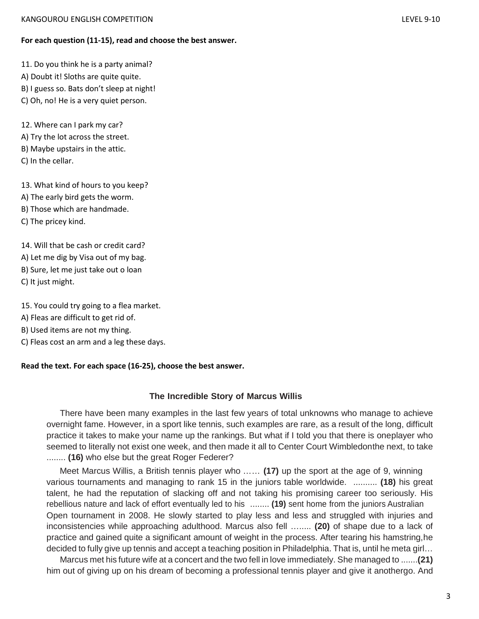## **For each question (11-15), read and choose the best answer.**

11. Do you think he is a party animal?

- A) Doubt it! Sloths are quite quite.
- B) I guess so. Bats don't sleep at night!
- C) Oh, no! He is a very quiet person.

12. Where can I park my car? A) Try the lot across the street. B) Maybe upstairs in the attic. C) In the cellar.

13. What kind of hours to you keep?

- A) The early bird gets the worm.
- B) Those which are handmade.
- C) The pricey kind.

14. Will that be cash or credit card?

A) Let me dig by Visa out of my bag.

- B) Sure, let me just take out o loan
- C) It just might.
- 15. You could try going to a flea market.
- A) Fleas are difficult to get rid of.
- B) Used items are not my thing.
- C) Fleas cost an arm and a leg these days.

#### **Read the text. For each space (16-25), choose the best answer.**

## **The Incredible Story of Marcus Willis**

There have been many examples in the last few years of total unknowns who manage to achieve overnight fame. However, in a sport like tennis, such examples are rare, as a result of the long, difficult practice it takes to make your name up the rankings. But what if I told you that there is oneplayer who seemed to literally not exist one week, and then made it all to Center Court Wimbledonthe next, to take ........ **(16)** who else but the great Roger Federer?

Meet Marcus Willis, a British tennis player who …… **(17)** up the sport at the age of 9, winning various tournaments and managing to rank 15 in the juniors table worldwide. .......... **(18)** his great talent, he had the reputation of slacking off and not taking his promising career too seriously. His rebellious nature and lack of effort eventually led to his ........ **(19)** sent home from the juniors Australian Open tournament in 2008. He slowly started to play less and less and struggled with injuries and inconsistencies while approaching adulthood. Marcus also fell …..... **(20)** of shape due to a lack of practice and gained quite a significant amount of weight in the process. After tearing his hamstring,he decided to fully give up tennis and accept a teaching position in Philadelphia. That is, until he meta girl…

Marcus met his future wife at a concert and the two fell in love immediately. She managed to .......**(21)**  him out of giving up on his dream of becoming a professional tennis player and give it anothergo. And